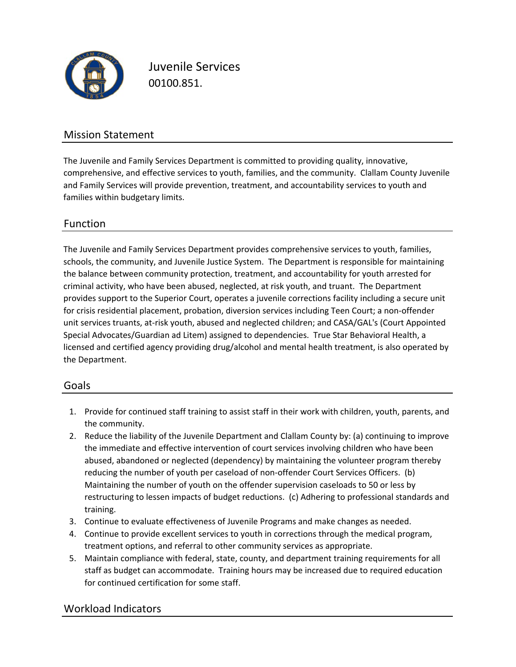

Juvenile Services 00100.851.

## Mission Statement

The Juvenile and Family Services Department is committed to providing quality, innovative, comprehensive, and effective services to youth, families, and the community. Clallam County Juvenile and Family Services will provide prevention, treatment, and accountability services to youth and families within budgetary limits.

### Function

The Juvenile and Family Services Department provides comprehensive services to youth, families, schools, the community, and Juvenile Justice System. The Department is responsible for maintaining the balance between community protection, treatment, and accountability for youth arrested for criminal activity, who have been abused, neglected, at risk youth, and truant. The Department provides support to the Superior Court, operates a juvenile corrections facility including a secure unit for crisis residential placement, probation, diversion services including Teen Court; a non‐offender unit services truants, at-risk youth, abused and neglected children; and CASA/GAL's (Court Appointed Special Advocates/Guardian ad Litem) assigned to dependencies. True Star Behavioral Health, a licensed and certified agency providing drug/alcohol and mental health treatment, is also operated by the Department.

#### Goals

- 1. Provide for continued staff training to assist staff in their work with children, youth, parents, and the community.
- 2. Reduce the liability of the Juvenile Department and Clallam County by: (a) continuing to improve the immediate and effective intervention of court services involving children who have been abused, abandoned or neglected (dependency) by maintaining the volunteer program thereby reducing the number of youth per caseload of non-offender Court Services Officers. (b) Maintaining the number of youth on the offender supervision caseloads to 50 or less by restructuring to lessen impacts of budget reductions. (c) Adhering to professional standards and training.
- 3. Continue to evaluate effectiveness of Juvenile Programs and make changes as needed.
- 4. Continue to provide excellent services to youth in corrections through the medical program, treatment options, and referral to other community services as appropriate.
- 5. Maintain compliance with federal, state, county, and department training requirements for all staff as budget can accommodate. Training hours may be increased due to required education for continued certification for some staff.

## Workload Indicators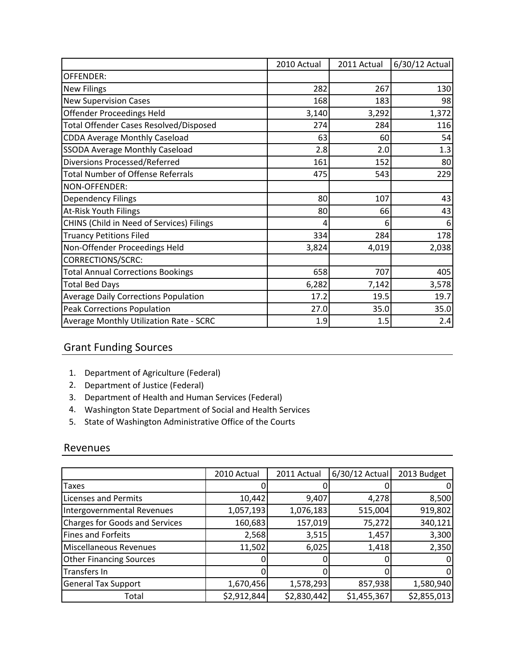|                                             | 2010 Actual | 2011 Actual | 6/30/12 Actual |
|---------------------------------------------|-------------|-------------|----------------|
| OFFENDER:                                   |             |             |                |
| <b>New Filings</b>                          | 282         | 267         | 130            |
| <b>New Supervision Cases</b>                | 168         | 183         | 98             |
| <b>Offender Proceedings Held</b>            | 3,140       | 3,292       | 1,372          |
| Total Offender Cases Resolved/Disposed      | 274         | 284         | 116            |
| <b>CDDA Average Monthly Caseload</b>        | 63          | 60          | 54             |
| <b>SSODA Average Monthly Caseload</b>       | 2.8         | 2.0         | 1.3            |
| Diversions Processed/Referred               | 161         | 152         | 80             |
| <b>Total Number of Offense Referrals</b>    | 475         | 543         | 229            |
| NON-OFFENDER:                               |             |             |                |
| <b>Dependency Filings</b>                   | 80          | 107         | 43             |
| <b>At-Risk Youth Filings</b>                | 80          | 66          | 43             |
| CHINS (Child in Need of Services) Filings   | 4           | 6           | 6              |
| <b>Truancy Petitions Filed</b>              | 334         | 284         | 178            |
| Non-Offender Proceedings Held               | 3,824       | 4,019       | 2,038          |
| <b>CORRECTIONS/SCRC:</b>                    |             |             |                |
| <b>Total Annual Corrections Bookings</b>    | 658         | 707         | 405            |
| <b>Total Bed Days</b>                       | 6,282       | 7,142       | 3,578          |
| <b>Average Daily Corrections Population</b> | 17.2        | 19.5        | 19.7           |
| <b>Peak Corrections Population</b>          | 27.0        | 35.0        | 35.0           |
| Average Monthly Utilization Rate - SCRC     | 1.9         | 1.5         | 2.4            |

### Grant Funding Sources

- 1. Department of Agriculture (Federal)
- 2. Department of Justice (Federal)
- 3. Department of Health and Human Services (Federal)
- 4. Washington State Department of Social and Health Services
- 5. State of Washington Administrative Office of the Courts

#### Revenues

|                                       | 2010 Actual | 2011 Actual | 6/30/12 Actual | 2013 Budget |
|---------------------------------------|-------------|-------------|----------------|-------------|
| Taxes                                 |             |             |                |             |
| Licenses and Permits                  | 10,442      | 9,407       | 4,278          | 8,500       |
| Intergovernmental Revenues            | 1,057,193   | 1,076,183   | 515,004        | 919,802     |
| <b>Charges for Goods and Services</b> | 160,683     | 157,019     | 75,272         | 340,121     |
| <b>Fines and Forfeits</b>             | 2,568       | 3,515       | 1,457          | 3,300       |
| Miscellaneous Revenues                | 11,502      | 6,025       | 1,418          | 2,350       |
| <b>Other Financing Sources</b>        |             |             |                |             |
| Transfers In                          |             |             |                |             |
| <b>General Tax Support</b>            | 1,670,456   | 1,578,293   | 857,938        | 1,580,940   |
| Total                                 | \$2,912,844 | \$2,830,442 | \$1,455,367    | \$2,855,013 |